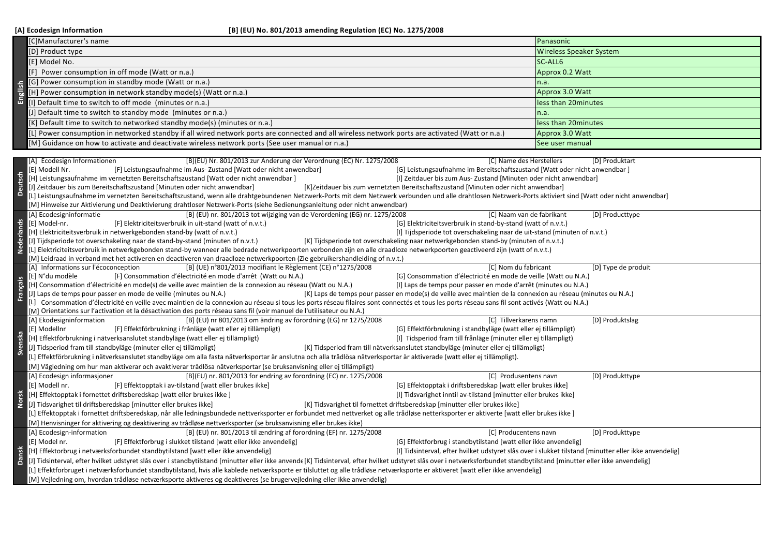|            | [C]Manufacturer's name                                                                                                                                                                                                                                                                            | Panasonic                                                                                                                                                                                                   |  |  |  |
|------------|---------------------------------------------------------------------------------------------------------------------------------------------------------------------------------------------------------------------------------------------------------------------------------------------------|-------------------------------------------------------------------------------------------------------------------------------------------------------------------------------------------------------------|--|--|--|
| English    | [D] Product type                                                                                                                                                                                                                                                                                  | <b>Wireless Speaker System</b>                                                                                                                                                                              |  |  |  |
|            | [E] Model No.                                                                                                                                                                                                                                                                                     | SC-ALL6                                                                                                                                                                                                     |  |  |  |
|            | [F] Power consumption in off mode (Watt or n.a.                                                                                                                                                                                                                                                   | Approx 0.2 Watt                                                                                                                                                                                             |  |  |  |
|            | [G] Power consumption in standby mode (Watt or n.a.)                                                                                                                                                                                                                                              | n.a.                                                                                                                                                                                                        |  |  |  |
|            | [H] Power consumption in network standby mode(s) (Watt or n.a.)                                                                                                                                                                                                                                   | Approx 3.0 Watt                                                                                                                                                                                             |  |  |  |
|            | [I] Default time to switch to off mode (minutes or n.a.)                                                                                                                                                                                                                                          | less than 20minutes                                                                                                                                                                                         |  |  |  |
|            | [J] Default time to switch to standby mode (minutes or n.a.)                                                                                                                                                                                                                                      | n.a.                                                                                                                                                                                                        |  |  |  |
|            | [K] Default time to switch to networked standby mode(s) (minutes or n.a.)                                                                                                                                                                                                                         | less than 20minutes                                                                                                                                                                                         |  |  |  |
|            | [L] Power consumption in networked standby if all wired network ports are connected and all wireless network ports are activated (Watt or n.a.)                                                                                                                                                   | Approx 3.0 Watt                                                                                                                                                                                             |  |  |  |
|            | [M] Guidance on how to activate and deactivate wireless network ports (See user manual or n.a.)                                                                                                                                                                                                   | See user manual                                                                                                                                                                                             |  |  |  |
|            |                                                                                                                                                                                                                                                                                                   |                                                                                                                                                                                                             |  |  |  |
|            | [B](EU) Nr. 801/2013 zur Änderung der Verordnung (EC) Nr. 1275/2008<br>[C] Name des Herstellers<br>[D] Produktart<br>[A] Ecodesign Informationen                                                                                                                                                  |                                                                                                                                                                                                             |  |  |  |
|            | [E] Modell Nr.<br>[F] Leistungsaufnahme im Aus-Zustand [Watt oder nicht anwendbar]<br>[G] Leistungsaufnahme im Bereitschaftszustand [Watt oder nicht anwendbar]                                                                                                                                   |                                                                                                                                                                                                             |  |  |  |
|            | [H] Leistungsaufnahme im vernetzten Bereitschaftszustand [Watt oder nicht anwendbar]<br>[I] Zeitdauer bis zum Aus- Zustand [Minuten oder nicht anwendbar]                                                                                                                                         |                                                                                                                                                                                                             |  |  |  |
|            | [J] Zeitdauer bis zum Bereitschaftszustand [Minuten oder nicht anwendbar]<br>[K]Zeitdauer bis zum vernetzten Bereitschaftszustand [Minuten oder nicht anwendbar]                                                                                                                                  |                                                                                                                                                                                                             |  |  |  |
|            |                                                                                                                                                                                                                                                                                                   | [1] Leistungsaufnahme im vernetzten Bereitschaftszustand, wenn alle drahtgebundenen Netzwerk-Ports mit dem Netzwerk verbunden und alle drahtlosen Netzwerk-Ports aktiviert sind [Watt oder nicht anwendbar] |  |  |  |
|            | [M] Hinweise zur Aktivierung und Deaktivierung drahtloser Netzwerk-Ports (siehe Bedienungsanleitung oder nicht anwendbar)                                                                                                                                                                         |                                                                                                                                                                                                             |  |  |  |
|            | [A] Ecodesigninformatie<br>[B] (EU) nr. 801/2013 tot wijziging van de Verordening (EG) nr. 1275/2008<br>[C] Naam van de fabrikant<br>[E] Model-nr.<br>[F] Elektriciteitsverbruik in uit-stand (watt of n.v.t.)<br>[G] Elektriciteitsverbruik in stand-by-stand (watt of n.v.t.)                   | [D] Producttype                                                                                                                                                                                             |  |  |  |
| Nederlands | [H] Elektriciteitsverbruik in netwerkgebonden stand-by (watt of n.v.t.)<br>[I] Tijdsperiode tot overschakeling naar de uit-stand (minuten of n.v.t.)                                                                                                                                              |                                                                                                                                                                                                             |  |  |  |
|            | [J] Tijdsperiode tot overschakeling naar de stand-by-stand (minuten of n.v.t.)<br>[K] Tijdsperiode tot overschakeling naar netwerkgebonden stand-by (minuten of n.v.t.)                                                                                                                           |                                                                                                                                                                                                             |  |  |  |
|            | [L] Elektriciteitsverbruik in netwerkgebonden stand-by wanneer alle bedrade netwerkpoorten verbonden zijn en alle draadloze netwerkpoorten geactiveerd zijn (watt of n.v.t.)                                                                                                                      |                                                                                                                                                                                                             |  |  |  |
|            | (M) Leidraad in verband met het activeren en deactiveren van draadloze netwerkpoorten (Zie gebruikershandleiding of n.v.t.)                                                                                                                                                                       |                                                                                                                                                                                                             |  |  |  |
|            | [A] Informations sur l'écoconception<br>[B] (UE) n°801/2013 modifiant le Règlement (CE) n°1275/2008<br>[C] Nom du fabricant                                                                                                                                                                       | [D] Type de produit                                                                                                                                                                                         |  |  |  |
|            | [G] Consommation d'électricité en mode de veille (Watt ou N.A.)<br>[E] N°du modèle<br>[F] Consommation d'électricité en mode d'arrêt (Watt ou N.A.)                                                                                                                                               |                                                                                                                                                                                                             |  |  |  |
|            | H] Consommation d'électricité en mode(s) de veille avec maintien de la connexion au réseau (Watt ou N.A.)<br>[I] Laps de temps pour passer en mode d'arrêt (minutes ou N.A.)                                                                                                                      |                                                                                                                                                                                                             |  |  |  |
| Français   | J] Laps de temps pour passer en mode de veille (minutes ou N.A.)<br>[K] Laps de temps pour passer en mode(s) de veille avec maintien de la connexion au réseau (minutes ou N.A.)                                                                                                                  |                                                                                                                                                                                                             |  |  |  |
|            | [L] Consommation d'électricité en veille avec maintien de la connexion au réseau si tous les ports réseau filaires sont connectés et tous les ports réseau sans fil sont activés (Watt ou N.A.)                                                                                                   |                                                                                                                                                                                                             |  |  |  |
|            |                                                                                                                                                                                                                                                                                                   |                                                                                                                                                                                                             |  |  |  |
|            | [M] Orientations sur l'activation et la désactivation des ports réseau sans fil (voir manuel de l'utilisateur ou N.A.)                                                                                                                                                                            |                                                                                                                                                                                                             |  |  |  |
|            | [B] (EU) nr 801/2013 om ändring av förordning (EG) nr 1275/2008<br>[C] Tillverkarens namn<br>[A] Ekodesigninformation                                                                                                                                                                             | [D] Produktslag                                                                                                                                                                                             |  |  |  |
|            | [G] Effektförbrukning i standbyläge (watt eller ej tillämpligt)<br>[E] Modellnr<br>[F] Effektförbrukning i frånläge (watt eller ej tillämpligt)                                                                                                                                                   |                                                                                                                                                                                                             |  |  |  |
|            | H] Effektförbrukning i nätverksanslutet standbyläge (watt eller ej tillämpligt)<br>[I] Tidsperiod fram till frånläge (minuter eller ej tillämpligt)                                                                                                                                               |                                                                                                                                                                                                             |  |  |  |
|            | [J] Tidsperiod fram till standbyläge (minuter eller ej tillämpligt)<br>[K] Tidsperiod fram till nätverksanslutet standbyläge (minuter eller ej tillämpligt)                                                                                                                                       |                                                                                                                                                                                                             |  |  |  |
|            | [L] Effektförbrukning i nätverksanslutet standbyläge om alla fasta nätverksportar är anslutna och alla trådlösa nätverksportar är aktiverade (watt eller ej tillämpligt).<br>[M] Vägledning om hur man aktiverar och avaktiverar trådlösa nätverksportar (se bruksanvisning eller ej tillämpligt) |                                                                                                                                                                                                             |  |  |  |
|            | [A] Ecodesign informasjoner<br>[B](EU) nr. 801/2013 for endring av forordning (EC) nr. 1275/2008<br>[C] Produsentens navn                                                                                                                                                                         | [D] Produkttype                                                                                                                                                                                             |  |  |  |
|            | [E] Modell nr.<br>[G] Effektopptak i driftsberedskap [watt eller brukes ikke]<br>[F] Effektopptak i av-tilstand [watt eller brukes ikke]                                                                                                                                                          |                                                                                                                                                                                                             |  |  |  |
|            | [H] Effektopptak i fornettet driftsberedskap [watt eller brukes ikke]<br>[I] Tidsvarighet inntil av-tilstand [minutter eller brukes ikke]                                                                                                                                                         |                                                                                                                                                                                                             |  |  |  |
|            | [J] Tidsvarighet til driftsberedskap [minutter eller brukes ikke]<br>[K] Tidsvarighet til fornettet driftsberedskap [minutter eller brukes ikke]                                                                                                                                                  |                                                                                                                                                                                                             |  |  |  |
|            | [4] Effektopptak i fornettet driftsberedskap, når alle ledningsbundede nettverksporter er forbundet med nettverket og alle trådløse netterksporter er aktiverte [watt eller brukes ikke]                                                                                                          |                                                                                                                                                                                                             |  |  |  |
|            | [M] Henvisninger for aktivering og deaktivering av trådløse nettverksporter (se bruksanvisning eller brukes ikke)                                                                                                                                                                                 |                                                                                                                                                                                                             |  |  |  |
|            | [B] (EU) nr. 801/2013 til ændring af forordning (EF) nr. 1275/2008<br>[A] Ecodesign-information<br>[C] Producentens navn                                                                                                                                                                          | [D] Produkttype                                                                                                                                                                                             |  |  |  |
|            | [E] Model nr.<br>[F] Effektforbrug i slukket tilstand [watt eller ikke anvendelig]<br>[G] Effektforbrug i standbytilstand [watt eller ikke anvendelig]                                                                                                                                            |                                                                                                                                                                                                             |  |  |  |
|            | [H] Effektorbrug i netværksforbundet standbytilstand [watt eller ikke anvendelig]                                                                                                                                                                                                                 | [I] Tidsinterval, efter hvilket udstyret slås over i slukket tilstand [minutter eller ikke anvendelig]                                                                                                      |  |  |  |
|            | [1] Tidsinterval, efter hvilket udstyret slås over i standbytilstand [minutter eller ikke anvende [K] Tidsinterval, efter hvilket udstyret slås over i netværksforbundet standbytilstand [minutter eller ikke anvendelig]                                                                         |                                                                                                                                                                                                             |  |  |  |
|            | [L] Effektforbruget i netværksforbundet standbytilstand, hvis alle kablede netværksporte er tilsluttet og alle trådløse netværksporte er aktiveret [watt eller ikke anvendelig]                                                                                                                   |                                                                                                                                                                                                             |  |  |  |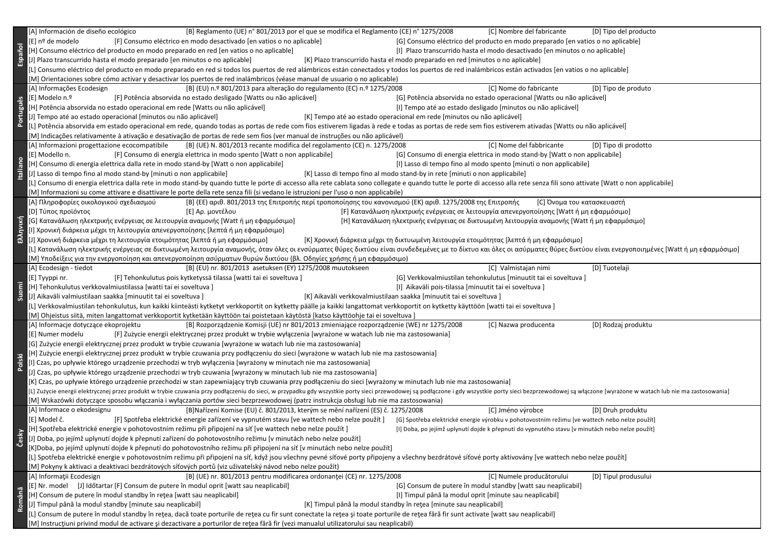|           | [B] Reglamento (UE) n° 801/2013 por el que se modifica el Reglamento (CE) n° 1275/2008<br>[C] Nombre del fabricante<br>[A] Información de diseño ecológico<br>[D] Tipo del producto                                            |  |  |  |  |
|-----------|--------------------------------------------------------------------------------------------------------------------------------------------------------------------------------------------------------------------------------|--|--|--|--|
|           | [E] nº de modelo<br>[F] Consumo eléctrico en modo desactivado [en vatios o no aplicable]<br>[G] Consumo eléctrico del producto en modo preparado [en vatios o no aplicable]                                                    |  |  |  |  |
|           | [H] Consumo eléctrico del producto en modo preparado en red [en vatios o no aplicable]<br>[I] Plazo transcurrido hasta el modo desactivado [en minutos o no aplicable]                                                         |  |  |  |  |
| Español   | [J] Plazo transcurrido hasta el modo preparado [en minutos o no aplicable]<br>[K] Plazo transcurrido hasta el modo preparado en red [minutos o no aplicable]                                                                   |  |  |  |  |
|           | [L] Consumo eléctrico del producto en modo preparado en red si todos los puertos de red alámbricos están conectados y todos los puertos de red inalámbricos están activados [en vatios o no aplicable]                         |  |  |  |  |
|           | [M] Orientaciones sobre cómo activar y desactivar los puertos de red inalámbricos (véase manual de usuario o no aplicable)                                                                                                     |  |  |  |  |
|           | [B] (EU) n.º 801/2013 para alteração do regulamento (EC) n.º 1275/2008<br>[A] Informações Ecodesign<br>[C] Nome do fabricante<br>[D] Tipo de produto                                                                           |  |  |  |  |
|           | [E] Modelo n.º<br>[F] Potência absorvida no estado desligado [Watts ou não aplicável]<br>[G] Potência absorvida no estado operacional [Watts ou não aplicável]                                                                 |  |  |  |  |
| Português | [H] Potência absorvida no estado operacional em rede [Watts ou não aplicável]<br>[I] Tempo até ao estado desligado [minutos ou não aplicável]                                                                                  |  |  |  |  |
|           | [J] Tempo até ao estado operacional [minutos ou não aplicável]<br>[K] Tempo até ao estado operacional em rede [minutos ou não aplicável]                                                                                       |  |  |  |  |
|           | [L] Potência absorvida em estado operacional em rede, quando todas as portas de rede com fios estiverem ligadas à rede e todas as portas de rede sem fios estiverem ativadas [Watts ou não aplicável]                          |  |  |  |  |
|           | [M] Indicações relativamente à ativação e desativação de portas de rede sem fios (ver manual de instruções ou não aplicável)                                                                                                   |  |  |  |  |
| taliano   | [B] (UE) N. 801/2013 recante modifica del regolamento (CE) n. 1275/2008<br>[C] Nome del fabbricante<br>[A] Informazioni progettazione ecocompatibile<br>[D] Tipo di prodotto                                                   |  |  |  |  |
|           | [F] Consumo di energia elettrica in modo spento [Watt o non applicabile]<br>[G] Consumo di energia elettrica in modo stand-by [Watt o non applicabile]<br>[E] Modello n.                                                       |  |  |  |  |
|           | [H] Consumo di energia elettrica dalla rete in modo stand-by [Watt o non applicabile]<br>[I] Lasso di tempo fino al modo spento [minuti o non applicabile]                                                                     |  |  |  |  |
|           | [J] Lasso di tempo fino al modo stand-by [minuti o non applicabile]<br>[K] Lasso di tempo fino al modo stand-by in rete [minuti o non applicabile]                                                                             |  |  |  |  |
|           | [L] Consumo di energia elettrica dalla rete in modo stand-by quando tutte le porte di accesso alla rete cablata sono collegate e quando tutte le porte di accesso alla rete senza fili sono attivate [Watt o non applicabile]  |  |  |  |  |
|           | [M] Informazioni su come attivare e disattivare le porte della rete senza fili (si vedano le istruzioni per l'uso o non applicabile)                                                                                           |  |  |  |  |
|           | [Β] (ΕΕ) αριθ. 801/2013 της Επιτροπής περί τροποποίησης του κανονισμού (ΕΚ) αριθ. 1275/2008 της Επιτροπής<br>[C] Όνομα του κατασκευαστή<br>[Α] Πληροφορίες οικολογικού σχεδιασμού                                              |  |  |  |  |
|           | [D] Τύπος προϊόντος<br>[E] Αρ. μοντέλου<br>[F] Κατανάλωση ηλεκτρικής ενέργειας σε λειτουργία απενεργοποίησης [Watt ή μη εφαρμόσιμο]                                                                                            |  |  |  |  |
|           |                                                                                                                                                                                                                                |  |  |  |  |
| Ελληνική  | [G] Κατανάλωση ηλεκτρικής ενέργειας σε λειτουργία αναμονής [Watt ή μη εφαρμόσιμο]<br>[Η] Κατανάλωση ηλεκτρικής ενέργειας σε δικτυωμένη λειτουργία αναμονής [Watt ή μη εφαρμόσιμο]                                              |  |  |  |  |
|           | [Ι] Χρονική διάρκεια μέχρι τη λειτουργία απενεργοποίησης [λεπτά ή μη εφαρμόσιμο]                                                                                                                                               |  |  |  |  |
|           | [J] Χρονική διάρκεια μέχρι τη λειτουργία ετοιμότητας [λεπτά ή μη εφαρμόσιμο]<br>[Κ] Χρονική διάρκεια μέχρι τη δικτυωμένη λειτουργία ετοιμότητας [λεπτά ή μη εφαρμόσιμο]                                                        |  |  |  |  |
|           | [L] Κατανάλωση ηλεκτρικής ενέργειας σε δικτυωμένη λειτουργία αναμονής, όταν όλες οι ενσύρματες θύρες δικτύου είναι συνδεδεμένες με το δίκτυο και όλες οι ασύρματες θύρες δικτύου είναι ενεργοποιημένες [Watt ή μη εφαρμόσιμο]  |  |  |  |  |
|           | [Μ] Υποδείξεις για την ενεργοποίηση και απενεργοποίηση ασύρματων θυρών δικτύου (βλ. Οδηγίες χρήσης ή μη εφαρμόσιμο)                                                                                                            |  |  |  |  |
|           | [B] (EU) nr. 801/2013 asetuksen (EY) 1275/2008 muutokseen<br>[C] Valmistajan nimi<br>[A] Ecodesign - tiedot<br>[D] Tuotelaji                                                                                                   |  |  |  |  |
|           | [F] Tehonkulutus pois kytketyssä tilassa [watti tai ei soveltuva]<br>[G] Verkkovalmiustilan tehonkulutus [minuutit tai ei soveltuva]<br>[E] Tyyppi nr.                                                                         |  |  |  |  |
| Suomi     | [H] Tehonkulutus verkkovalmiustilassa [watti tai ei soveltuva ]<br>[I] Aikaväli pois-tilassa [minuutit tai ei soveltuva]                                                                                                       |  |  |  |  |
|           | [J] Aikaväli valmiustilaan saakka [minuutit tai ei soveltuva]<br>[K] Aikaväli verkkovalmiustilaan saakka [minuutit tai ei soveltuva]                                                                                           |  |  |  |  |
|           | [L] Verkkovalmiustilan tehonkulutus, kun kaikki kiinteästi kytketyt verkkoportit on kytketty päälle ja kaikki langattomat verkkoportit on kytketty käyttöön [watti tai ei soveltuva ]                                          |  |  |  |  |
|           | [M] Ohjeistus siitä, miten langattomat verkkoportit kytketään käyttöön tai poistetaan käytöstä [katso käyttöohje tai ei soveltuva]                                                                                             |  |  |  |  |
|           | [A] Informacje dotyczące ekoprojektu<br>[B] Rozporządzenie Komisji (UE) nr 801/2013 zmieniające rozporządzenie (WE) nr 1275/2008<br>[D] Rodzaj produktu<br>[C] Nazwa producenta                                                |  |  |  |  |
|           | [F] Zużycie energii elektrycznej przez produkt w trybie wyłączenia [wyrażone w watach lub nie ma zastosowania]<br>[E] Numer modelu                                                                                             |  |  |  |  |
|           | [G] Zużycie energii elektrycznej przez produkt w trybie czuwania [wyrażone w watach lub nie ma zastosowania]                                                                                                                   |  |  |  |  |
|           | [H] Zużycie energii elektrycznej przez produkt w trybie czuwania przy podłączeniu do sieci [wyrażone w watach lub nie ma zastosowania]                                                                                         |  |  |  |  |
| Polski    | [I] Czas, po upływie którego urządzenie przechodzi w tryb wyłączenia [wyrażony w minutach nie ma zastosowania]                                                                                                                 |  |  |  |  |
|           | [s] Czas, po upływie którego urządzenie przechodzi w tryb czuwania [wyrażony w minutach lub nie ma zastosowania]                                                                                                               |  |  |  |  |
|           | [K] Czas, po upływie którego urządzenie przechodzi w stan zapewniający tryb czuwania przy podłączeniu do sieci [wyrażony w minutach lub nie ma zastosowania]                                                                   |  |  |  |  |
|           | [L] Zużycie energii elektrycznej przez produkt w trybie czuwania przy podłączeniu do sieci, w przypadku gdy wszystkie porty sieci przewodowej są podłączone i gdy wszystkie porty sieci bezprzewodowej są włączone [wyrażone w |  |  |  |  |
|           | [M] Wskazówki dotyczące sposobu włączania i wyłączania portów sieci bezprzewodowej (patrz instrukcja obsługi lub nie ma zastosowania)                                                                                          |  |  |  |  |
|           | [A] Informace o ekodesignu<br>[B]Nařízení Komise (EU) č. 801/2013, kterým se mění nařízení (ES) č. 1275/2008<br>[C] Jméno výrobce<br>[D] Druh produktu                                                                         |  |  |  |  |
|           | [E] Model č.<br>[F] Spotřeba elektrické energie zařízení ve vypnutém stavu [ve wattech nebo nelze použít]<br>[G] Spotřeba elektrické energie výrobku v pohotovostním režimu [ve wattech nebo nelze použít]                     |  |  |  |  |
|           | [H] Spotřeba elektrické energie v pohotovostním režimu při připojení na síť [ve wattech nebo nelze použít]<br>[I] Doba, po jejímž uplynutí dojde k přepnutí do vypnutého stavu [v minutách nebo nelze použít]                  |  |  |  |  |
|           | [J] Doba, po jejímž uplynutí dojde k přepnutí zařízení do pohotovostního režimu [v minutách nebo nelze použít]                                                                                                                 |  |  |  |  |
|           | [K]Doba, po jejímž uplynutí dojde k přepnutí do pohotovostního režimu při připojení na síť [v minutách nebo nelze použít]                                                                                                      |  |  |  |  |
|           | [L] Spotřeba elektrické energie v pohotovostním režimu při připojení na síť, když jsou všechny pevné síťové porty připojeny a všechny bezdrátové síťové porty aktivovány [ve wattech nebo nelze použít]                        |  |  |  |  |
|           | [M] Pokyny k aktivaci a deaktivaci bezdrátových síťových portů (viz uživatelský návod nebo nelze použít)                                                                                                                       |  |  |  |  |
|           | [A] Informații Ecodesign<br>[B] (UE) nr. 801/2013 pentru modificarea ordonanței (CE) nr. 1275/2008<br>[C] Numele producătorului<br>[D] Tipul produsului                                                                        |  |  |  |  |
|           | [E] Nr. model [J] Időtartar [F] Consum de putere în modul oprit [watt sau neaplicabil]<br>[G] Consum de putere în modul standby [watt sau neaplicabil]                                                                         |  |  |  |  |
| Română    | [H] Consum de putere în modul standby în rețea [watt sau neaplicabil]<br>[I] Timpul până la modul oprit [minute sau neaplicabil]                                                                                               |  |  |  |  |
|           | [J] Timpul până la modul standby [minute sau neaplicabil]<br>[K] Timpul până la modul standby în rețea [minute sau neaplicabil]                                                                                                |  |  |  |  |
|           | [L] Consum de putere în modul standby în rețea, dacă toate porturile de rețea cu fir sunt conectate la rețea și toate porturile de rețea fără fir sunt activate [watt sau neaplicabil]                                         |  |  |  |  |
|           | [M] Instrucțiuni privind modul de activare și dezactivare a porturilor de rețea fără fir (vezi manualul utilizatorului sau neaplicabil)                                                                                        |  |  |  |  |